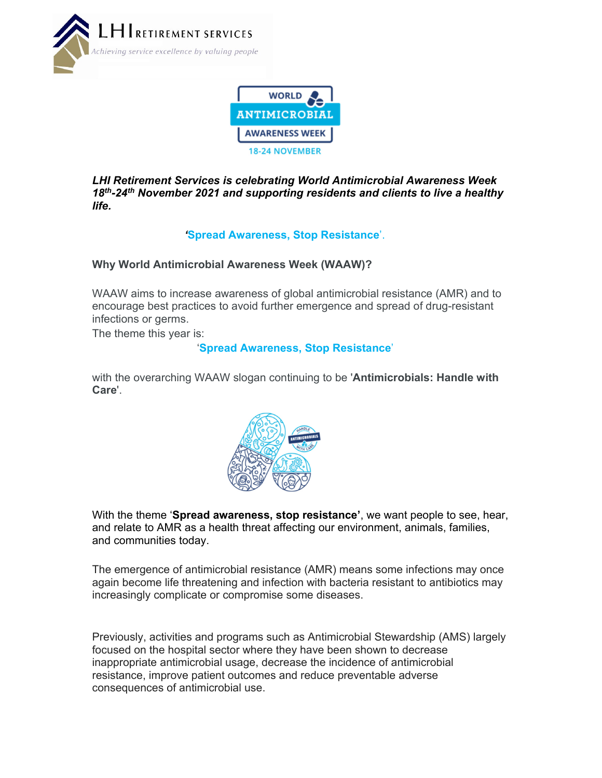



*LHI Retirement Services is celebrating World Antimicrobial Awareness Week 18th-24th November 2021 and supporting residents and clients to live a healthy life.* 

# *'***Spread Awareness, Stop Resistance**'.

### **Why World Antimicrobial Awareness Week (WAAW)?**

WAAW aims to increase awareness of global antimicrobial resistance (AMR) and to encourage best practices to avoid further emergence and spread of drug-resistant infections or germs.

The theme this year is:

### '**Spread Awareness, Stop Resistance**'

with the overarching WAAW slogan continuing to be '**Antimicrobials: Handle with Care**'.



With the theme '**Spread awareness, stop resistance'**, we want people to see, hear, and relate to AMR as a health threat affecting our environment, animals, families, and communities today.

The emergence of antimicrobial resistance (AMR) means some infections may once again become life threatening and infection with bacteria resistant to antibiotics may increasingly complicate or compromise some diseases.

Previously, activities and programs such as Antimicrobial Stewardship (AMS) largely focused on the hospital sector where they have been shown to decrease inappropriate antimicrobial usage, decrease the incidence of antimicrobial resistance, improve patient outcomes and reduce preventable adverse consequences of antimicrobial use.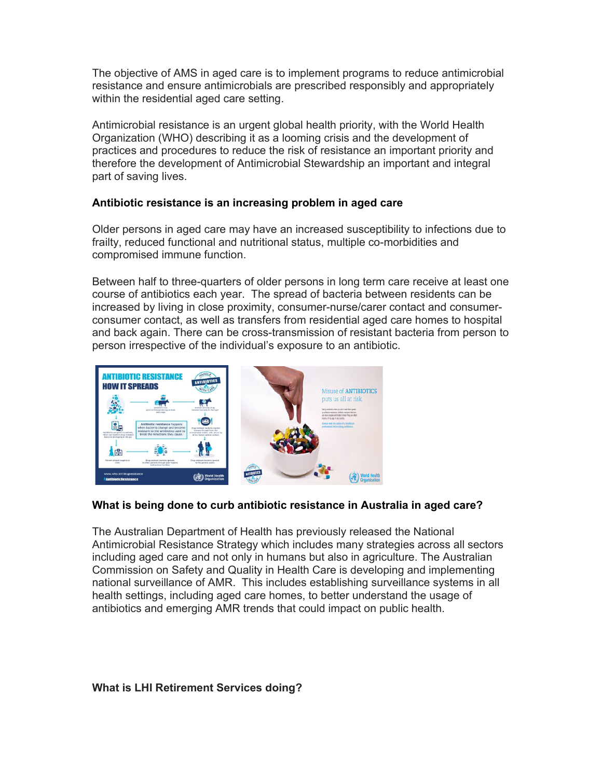The objective of AMS in aged care is to implement programs to reduce antimicrobial resistance and ensure antimicrobials are prescribed responsibly and appropriately within the residential aged care setting.

Antimicrobial resistance is an urgent global health priority, with the World Health Organization (WHO) describing it as a looming crisis and the development of practices and procedures to reduce the risk of resistance an important priority and therefore the development of Antimicrobial Stewardship an important and integral part of saving lives.

### **Antibiotic resistance is an increasing problem in aged care**

Older persons in aged care may have an increased susceptibility to infections due to frailty, reduced functional and nutritional status, multiple co-morbidities and compromised immune function.

Between half to three-quarters of older persons in long term care receive at least one course of antibiotics each year. The spread of bacteria between residents can be increased by living in close proximity, consumer-nurse/carer contact and consumerconsumer contact, as well as transfers from residential aged care homes to hospital and back again. There can be cross-transmission of resistant bacteria from person to person irrespective of the individual's exposure to an antibiotic.



#### **What is being done to curb antibiotic resistance in Australia in aged care?**

The Australian Department of Health has previously released the National Antimicrobial Resistance Strategy which includes many strategies across all sectors including aged care and not only in humans but also in agriculture. The Australian Commission on Safety and Quality in Health Care is developing and implementing national surveillance of AMR. This includes establishing surveillance systems in all health settings, including aged care homes, to better understand the usage of antibiotics and emerging AMR trends that could impact on public health.

#### **What is LHI Retirement Services doing?**